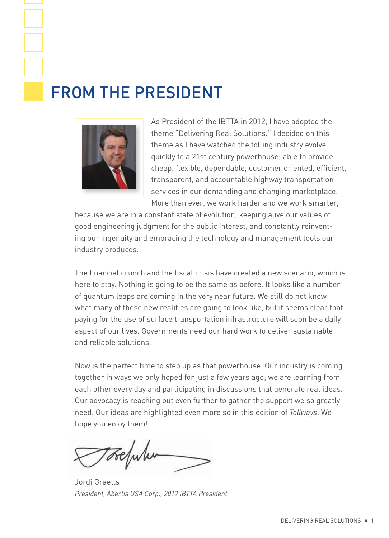## From the President



As President of the IBTTA in 2012, I have adopted the theme "Delivering Real Solutions." I decided on this theme as I have watched the tolling industry evolve quickly to a 21st century powerhouse; able to provide cheap, flexible, dependable, customer oriented, efficient, transparent, and accountable highway transportation services in our demanding and changing marketplace. More than ever, we work harder and we work smarter,

because we are in a constant state of evolution, keeping alive our values of good engineering judgment for the public interest, and constantly reinventing our ingenuity and embracing the technology and management tools our industry produces.

The financial crunch and the fiscal crisis have created a new scenario, which is here to stay. Nothing is going to be the same as before. It looks like a number of quantum leaps are coming in the very near future. We still do not know what many of these new realities are going to look like, but it seems clear that paying for the use of surface transportation infrastructure will soon be a daily aspect of our lives. Governments need our hard work to deliver sustainable and reliable solutions.

Now is the perfect time to step up as that powerhouse. Our industry is coming together in ways we only hoped for just a few years ago; we are learning from each other every day and participating in discussions that generate real ideas. Our advocacy is reaching out even further to gather the support we so greatly need. Our ideas are highlighted even more so in this edition of *Tollways*. We hope you enjoy them!

Jordi Graells *President, Abertis USA Corp., 2012 IBTTA President*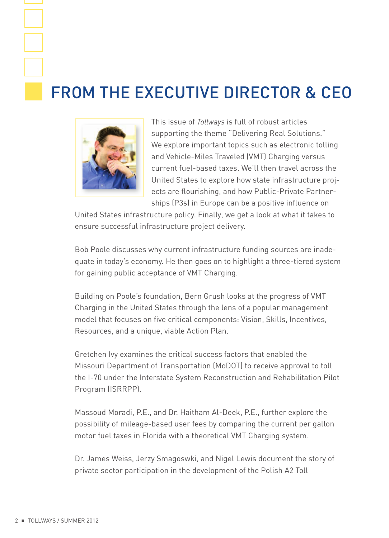## FROM THE EXECUTIVE DIRECTOR & CEO



This issue of *Tollways* is full of robust articles supporting the theme "Delivering Real Solutions." We explore important topics such as electronic tolling and Vehicle-Miles Traveled (VMT) Charging versus current fuel-based taxes. We'll then travel across the United States to explore how state infrastructure projects are flourishing, and how Public-Private Partnerships (P3s) in Europe can be a positive influence on

United States infrastructure policy. Finally, we get a look at what it takes to ensure successful infrastructure project delivery.

Bob Poole discusses why current infrastructure funding sources are inadequate in today's economy. He then goes on to highlight a three-tiered system for gaining public acceptance of VMT Charging.

Building on Poole's foundation, Bern Grush looks at the progress of VMT Charging in the United States through the lens of a popular management model that focuses on five critical components: Vision, Skills, Incentives, Resources, and a unique, viable Action Plan.

Gretchen Ivy examines the critical success factors that enabled the Missouri Department of Transportation (MoDOT) to receive approval to toll the I-70 under the Interstate System Reconstruction and Rehabilitation Pilot Program (ISRRPP).

Massoud Moradi, P.E., and Dr. Haitham Al-Deek, P.E., further explore the possibility of mileage-based user fees by comparing the current per gallon motor fuel taxes in Florida with a theoretical VMT Charging system.

Dr. James Weiss, Jerzy Smagoswki, and Nigel Lewis document the story of private sector participation in the development of the Polish A2 Toll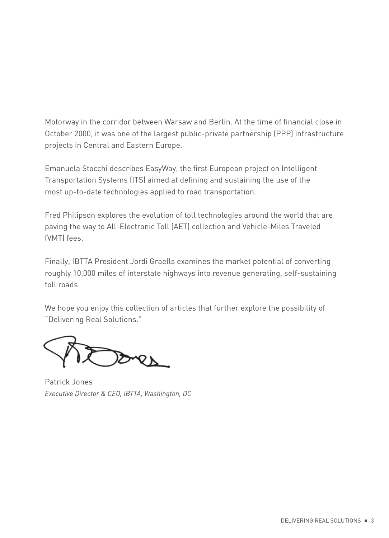Motorway in the corridor between Warsaw and Berlin. At the time of financial close in October 2000, it was one of the largest public-private partnership (PPP) infrastructure projects in Central and Eastern Europe.

Emanuela Stocchi describes EasyWay, the first European project on Intelligent Transportation Systems (ITS) aimed at defining and sustaining the use of the most up-to-date technologies applied to road transportation.

Fred Philipson explores the evolution of toll technologies around the world that are paving the way to All-Electronic Toll (AET) collection and Vehicle-Miles Traveled (VMT) fees.

Finally, IBTTA President Jordi Graells examines the market potential of converting roughly 10,000 miles of interstate highways into revenue generating, self-sustaining toll roads.

We hope you enjoy this collection of articles that further explore the possibility of "Delivering Real Solutions."

Patrick Jones *Executive Director & CEO, IBTTA, Washington, DC*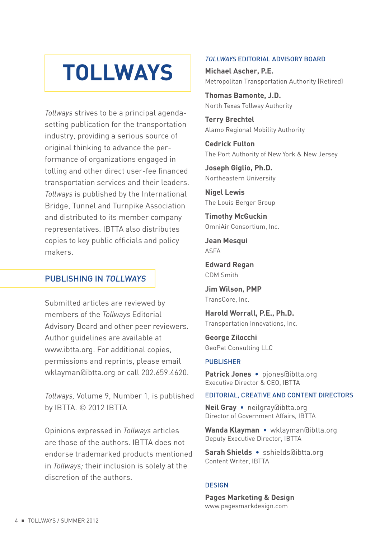# **TOLLWAYS**

*Tollways* strives to be a principal agendasetting publication for the transportation industry, providing a serious source of original thinking to advance the performance of organizations engaged in tolling and other direct user-fee financed transportation services and their leaders. *Tollways* is published by the International Bridge, Tunnel and Turnpike Association and distributed to its member company representatives. IBTTA also distributes copies to key public officials and policy makers.

### PuBlishing in tollways

Submitted articles are reviewed by members of the *Tollways* Editorial Advisory Board and other peer reviewers. Author guidelines are available at www.ibtta.org. For additional copies, permissions and reprints, please email wklayman@ibtta.org or call 202.659.4620.

*Tollways,* Volume 9, Number 1, is published by IBTTA. © 2012 IBTTA

Opinions expressed in *Tollways* articles are those of the authors. IBTTA does not endorse trademarked products mentioned in *Tollways;* their inclusion is solely at the discretion of the authors.

#### *TOLLWAYS* editorial advisory Board

Michael Ascher, P.E. Metropolitan Transportation Authority (Retired)

Thomas Bamonte, J.D. North Texas Tollway Authority

Terry Brechtel Alamo Regional Mobility Authority

Cedrick Fulton The Port Authority of New York & New Jersey

Joseph Giglio, Ph.D. Northeastern University

Nigel Lewis The Louis Berger Group

Timothy McGuckin OmniAir Consortium, Inc.

Jean Mesqui ASFA

Edward Regan CDM Smith

Jim Wilson, PMP TransCore, Inc.

Harold Worrall, P.E., Ph.D. Transportation Innovations, Inc.

George Zilocchi GeoPat Consulting LLC

#### **PUBLISHER**

Patrick Jones • piones@ibtta.org Executive Director & CEO, IBTTA

#### editorial, creative and content directors

Neil Gray • neilgray@ibtta.org Director of Government Affairs, IBTTA

Wanda Klayman • wklayman@ibtta.org Deputy Executive Director, IBTTA

Sarah Shields • sshields@ibtta.org Content Writer, IBTTA

#### **DESIGN**

Pages Marketing & Design www.pagesmarkdesign.com